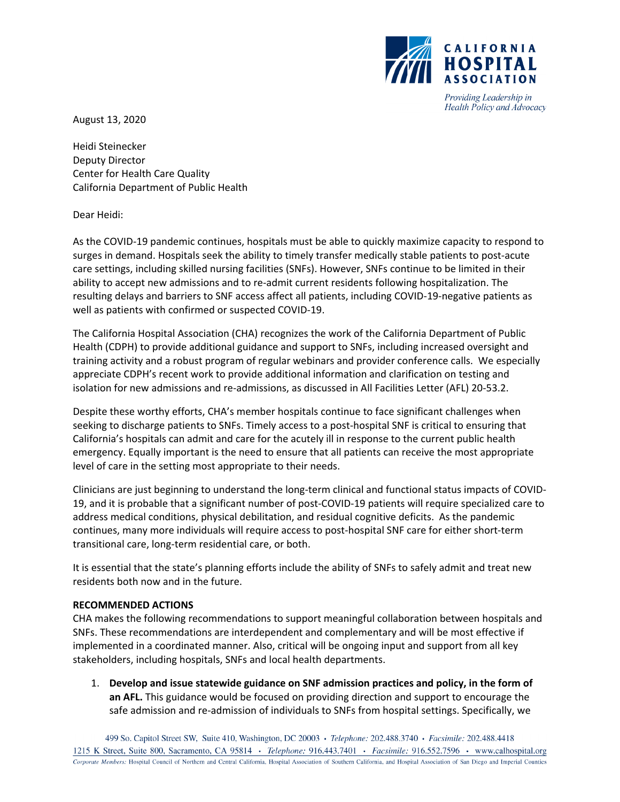

Providing Leadership in Health Policy and Advocacy

August 13, 2020

Heidi Steinecker Deputy Director Center for Health Care Quality California Department of Public Health

Dear Heidi:

As the COVID‐19 pandemic continues, hospitals must be able to quickly maximize capacity to respond to surges in demand. Hospitals seek the ability to timely transfer medically stable patients to post-acute care settings, including skilled nursing facilities (SNFs). However, SNFs continue to be limited in their ability to accept new admissions and to re‐admit current residents following hospitalization. The resulting delays and barriers to SNF access affect all patients, including COVID‐19‐negative patients as well as patients with confirmed or suspected COVID‐19.

The California Hospital Association (CHA) recognizes the work of the California Department of Public Health (CDPH) to provide additional guidance and support to SNFs, including increased oversight and training activity and a robust program of regular webinars and provider conference calls. We especially appreciate CDPH's recent work to provide additional information and clarification on testing and isolation for new admissions and re‐admissions, as discussed in All Facilities Letter (AFL) 20‐53.2.

Despite these worthy efforts, CHA's member hospitals continue to face significant challenges when seeking to discharge patients to SNFs. Timely access to a post-hospital SNF is critical to ensuring that California's hospitals can admit and care for the acutely ill in response to the current public health emergency. Equally important is the need to ensure that all patients can receive the most appropriate level of care in the setting most appropriate to their needs.

Clinicians are just beginning to understand the long‐term clinical and functional status impacts of COVID‐ 19, and it is probable that a significant number of post‐COVID‐19 patients will require specialized care to address medical conditions, physical debilitation, and residual cognitive deficits. As the pandemic continues, many more individuals will require access to post-hospital SNF care for either short-term transitional care, long‐term residential care, or both.

It is essential that the state's planning efforts include the ability of SNFs to safely admit and treat new residents both now and in the future.

#### **RECOMMENDED ACTIONS**

CHA makes the following recommendations to support meaningful collaboration between hospitals and SNFs. These recommendations are interdependent and complementary and will be most effective if implemented in a coordinated manner. Also, critical will be ongoing input and support from all key stakeholders, including hospitals, SNFs and local health departments.

1. **Develop and issue statewide guidance on SNF admission practices and policy, in the form of an AFL.** This guidance would be focused on providing direction and support to encourage the safe admission and re-admission of individuals to SNFs from hospital settings. Specifically, we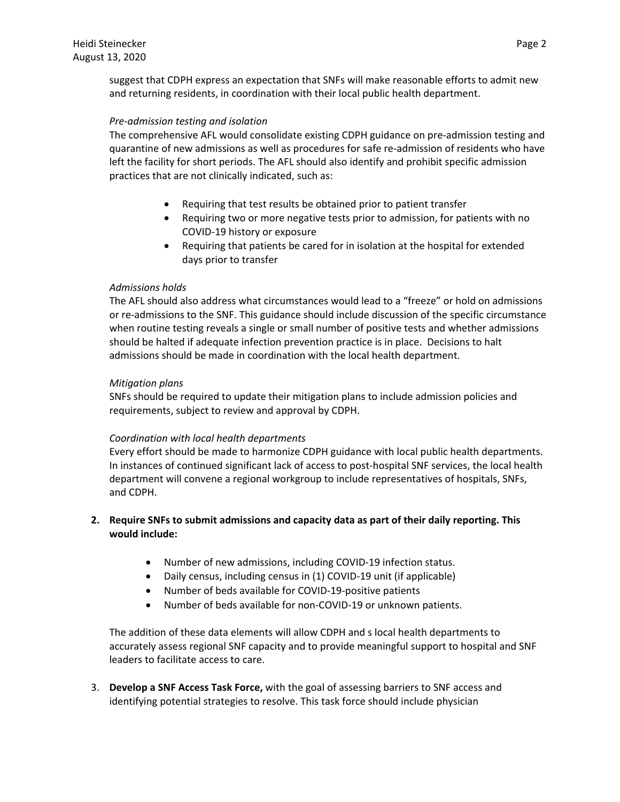suggest that CDPH express an expectation that SNFs will make reasonable efforts to admit new and returning residents, in coordination with their local public health department.

## *Pre‐admission testing and isolation*

The comprehensive AFL would consolidate existing CDPH guidance on pre-admission testing and quarantine of new admissions as well as procedures for safe re‐admission of residents who have left the facility for short periods. The AFL should also identify and prohibit specific admission practices that are not clinically indicated, such as:

- Requiring that test results be obtained prior to patient transfer
- Requiring two or more negative tests prior to admission, for patients with no COVID‐19 history or exposure
- Requiring that patients be cared for in isolation at the hospital for extended days prior to transfer

# *Admissions holds*

The AFL should also address what circumstances would lead to a "freeze" or hold on admissions or re‐admissions to the SNF. This guidance should include discussion of the specific circumstance when routine testing reveals a single or small number of positive tests and whether admissions should be halted if adequate infection prevention practice is in place. Decisions to halt admissions should be made in coordination with the local health department.

## *Mitigation plans*

SNFs should be required to update their mitigation plans to include admission policies and requirements, subject to review and approval by CDPH.

#### *Coordination with local health departments*

Every effort should be made to harmonize CDPH guidance with local public health departments. In instances of continued significant lack of access to post-hospital SNF services, the local health department will convene a regional workgroup to include representatives of hospitals, SNFs, and CDPH.

# **2. Require SNFs to submit admissions and capacity data as part of their daily reporting. This would include:**

- Number of new admissions, including COVID‐19 infection status.
- Daily census, including census in (1) COVID‐19 unit (if applicable)
- Number of beds available for COVID‐19‐positive patients
- Number of beds available for non‐COVID‐19 or unknown patients.

The addition of these data elements will allow CDPH and s local health departments to accurately assess regional SNF capacity and to provide meaningful support to hospital and SNF leaders to facilitate access to care.

3. **Develop a SNF Access Task Force,** with the goal of assessing barriers to SNF access and identifying potential strategies to resolve. This task force should include physician